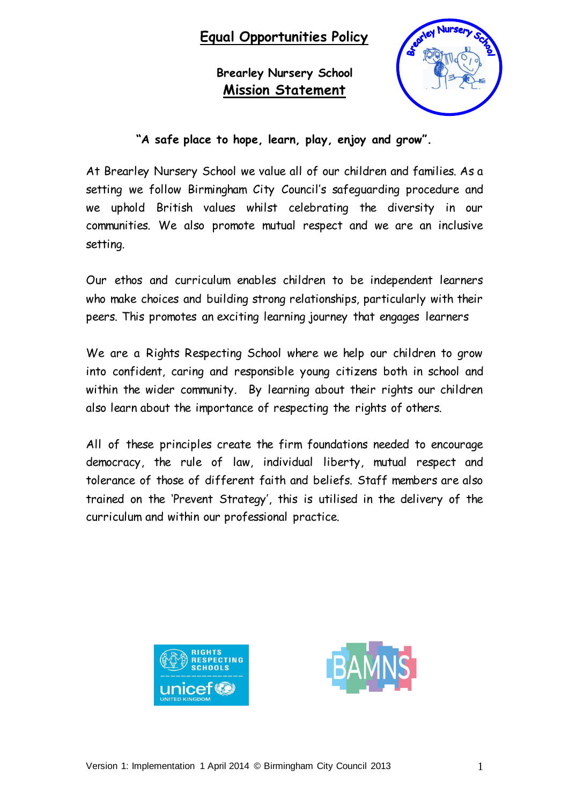# **Equal Opportunities Policy**

**Brearley Nursery School Mission Statement**



**"A safe place to hope, learn, play, enjoy and grow".**

At Brearley Nursery School we value all of our children and families. As a setting we follow Birmingham City Council's safeguarding procedure and we uphold British values whilst celebrating the diversity in our communities. We also promote mutual respect and we are an inclusive setting.

Our ethos and curriculum enables children to be independent learners who make choices and building strong relationships, particularly with their peers. This promotes an exciting learning journey that engages learners

We are a Rights Respecting School where we help our children to grow into confident, caring and responsible young citizens both in school and within the wider community. By learning about their rights our children also learn about the importance of respecting the rights of others.

All of these principles create the firm foundations needed to encourage democracy, the rule of law, individual liberty, mutual respect and tolerance of those of different faith and beliefs. Staff members are also trained on the 'Prevent Strategy', this is utilised in the delivery of the curriculum and within our professional practice.



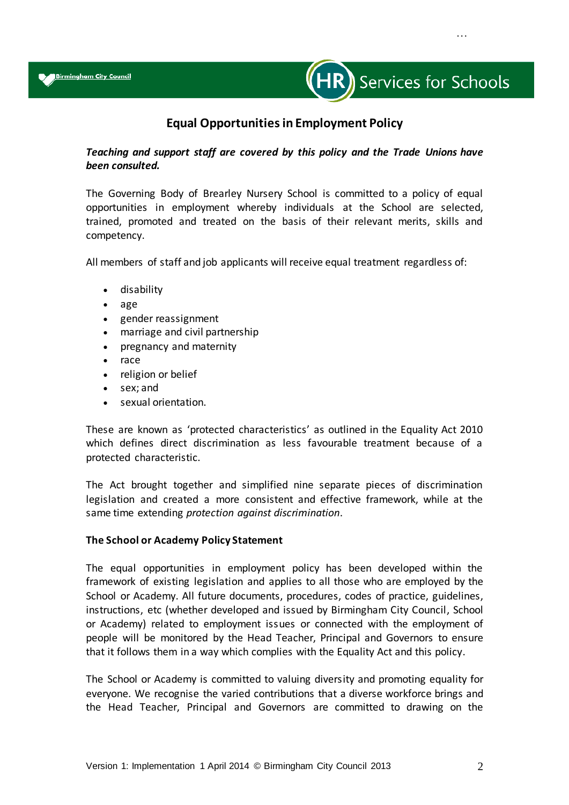

…

# **Equal Opportunities in Employment Policy**

# *Teaching and support staff are covered by this policy and the Trade Unions have been consulted.*

The Governing Body of Brearley Nursery School is committed to a policy of equal opportunities in employment whereby individuals at the School are selected, trained, promoted and treated on the basis of their relevant merits, skills and competency.

All members of staff and job applicants will receive equal treatment regardless of:

- disability
- age
- gender reassignment
- marriage and civil partnership
- pregnancy and maternity
- race
- religion or belief
- sex; and
- sexual orientation.

These are known as 'protected characteristics' as outlined in the Equality Act 2010 which defines direct discrimination as less favourable treatment because of a protected characteristic.

The Act brought together and simplified nine separate pieces of discrimination legislation and created a more consistent and effective framework, while at the same time extending *protection against discrimination*.

# **The School or Academy Policy Statement**

The equal opportunities in employment policy has been developed within the framework of existing legislation and applies to all those who are employed by the School or Academy. All future documents, procedures, codes of practice, guidelines, instructions, etc (whether developed and issued by Birmingham City Council, School or Academy) related to employment issues or connected with the employment of people will be monitored by the Head Teacher, Principal and Governors to ensure that it follows them in a way which complies with the Equality Act and this policy.

The School or Academy is committed to valuing diversity and promoting equality for everyone. We recognise the varied contributions that a diverse workforce brings and the Head Teacher, Principal and Governors are committed to drawing on the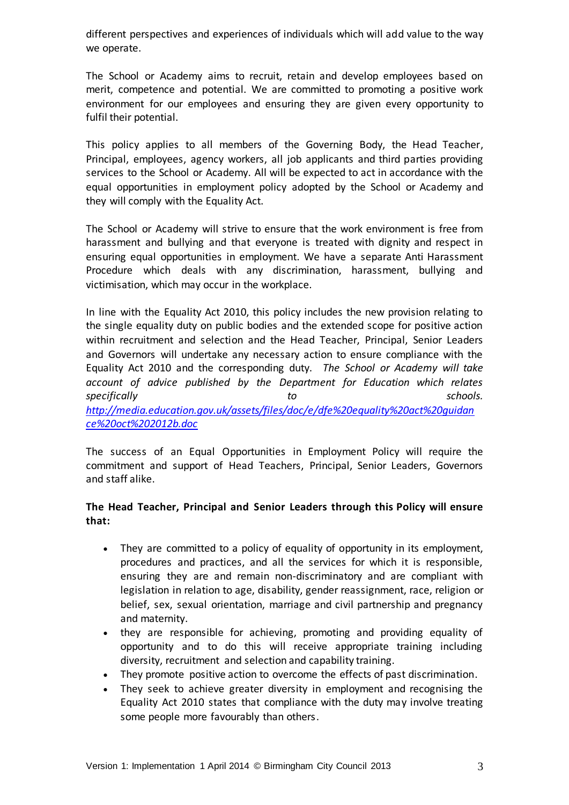different perspectives and experiences of individuals which will add value to the way we operate.

The School or Academy aims to recruit, retain and develop employees based on merit, competence and potential. We are committed to promoting a positive work environment for our employees and ensuring they are given every opportunity to fulfil their potential.

This policy applies to all members of the Governing Body, the Head Teacher, Principal, employees, agency workers, all job applicants and third parties providing services to the School or Academy. All will be expected to act in accordance with the equal opportunities in employment policy adopted by the School or Academy and they will comply with the Equality Act.

The School or Academy will strive to ensure that the work environment is free from harassment and bullying and that everyone is treated with dignity and respect in ensuring equal opportunities in employment. We have a separate Anti Harassment Procedure which deals with any discrimination, harassment, bullying and victimisation, which may occur in the workplace.

In line with the Equality Act 2010, this policy includes the new provision relating to the single equality duty on public bodies and the extended scope for positive action within recruitment and selection and the Head Teacher, Principal, Senior Leaders and Governors will undertake any necessary action to ensure compliance with the Equality Act 2010 and the corresponding duty. *The School or Academy will take account of advice published by the Department for Education which relates specifically to schools. [http://media.education.gov.uk/assets/files/doc/e/dfe%20equality%20act%20guidan](http://media.education.gov.uk/assets/files/doc/e/dfe%20equality%20act%20guidance%20oct%202012b.doc) [ce%20oct%202012b.doc](http://media.education.gov.uk/assets/files/doc/e/dfe%20equality%20act%20guidance%20oct%202012b.doc)*

The success of an Equal Opportunities in Employment Policy will require the commitment and support of Head Teachers, Principal, Senior Leaders, Governors and staff alike.

# **The Head Teacher, Principal and Senior Leaders through this Policy will ensure that:**

- They are committed to a policy of equality of opportunity in its employment, procedures and practices, and all the services for which it is responsible, ensuring they are and remain non-discriminatory and are compliant with legislation in relation to age, disability, gender reassignment, race, religion or belief, sex, sexual orientation, marriage and civil partnership and pregnancy and maternity.
- they are responsible for achieving, promoting and providing equality of opportunity and to do this will receive appropriate training including diversity, recruitment and selection and capability training.
- They promote positive action to overcome the effects of past discrimination.
- They seek to achieve greater diversity in employment and recognising the Equality Act 2010 states that compliance with the duty may involve treating some people more favourably than others.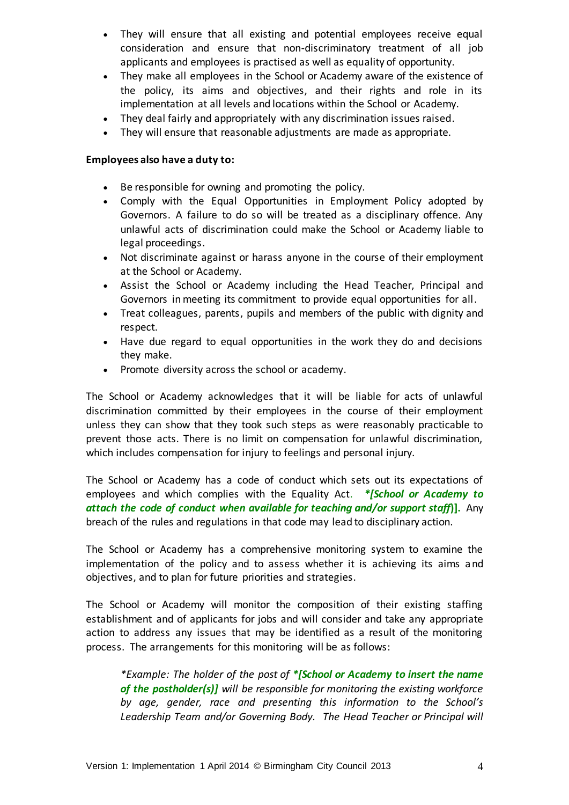- They will ensure that all existing and potential employees receive equal consideration and ensure that non-discriminatory treatment of all job applicants and employees is practised as well as equality of opportunity.
- They make all employees in the School or Academy aware of the existence of the policy, its aims and objectives, and their rights and role in its implementation at all levels and locations within the School or Academy.
- They deal fairly and appropriately with any discrimination issues raised.
- They will ensure that reasonable adjustments are made as appropriate.

# **Employees also have a duty to:**

- Be responsible for owning and promoting the policy.
- Comply with the Equal Opportunities in Employment Policy adopted by Governors. A failure to do so will be treated as a disciplinary offence. Any unlawful acts of discrimination could make the School or Academy liable to legal proceedings.
- Not discriminate against or harass anyone in the course of their employment at the School or Academy.
- Assist the School or Academy including the Head Teacher, Principal and Governors in meeting its commitment to provide equal opportunities for all.
- Treat colleagues, parents, pupils and members of the public with dignity and respect.
- Have due regard to equal opportunities in the work they do and decisions they make.
- Promote diversity across the school or academy.

The School or Academy acknowledges that it will be liable for acts of unlawful discrimination committed by their employees in the course of their employment unless they can show that they took such steps as were reasonably practicable to prevent those acts. There is no limit on compensation for unlawful discrimination, which includes compensation for injury to feelings and personal injury.

The School or Academy has a code of conduct which sets out its expectations of employees and which complies with the Equality Act. *\*[School or Academy to attach the code of conduct when available for teaching and/or support staff***)].** Any breach of the rules and regulations in that code may lead to disciplinary action.

The School or Academy has a comprehensive monitoring system to examine the implementation of the policy and to assess whether it is achieving its aims and objectives, and to plan for future priorities and strategies.

The School or Academy will monitor the composition of their existing staffing establishment and of applicants for jobs and will consider and take any appropriate action to address any issues that may be identified as a result of the monitoring process. The arrangements for this monitoring will be as follows:

*\*Example: The holder of the post of \*[School or Academy to insert the name of the postholder(s)] will be responsible for monitoring the existing workforce by age, gender, race and presenting this information to the School's Leadership Team and/or Governing Body. The Head Teacher or Principal will*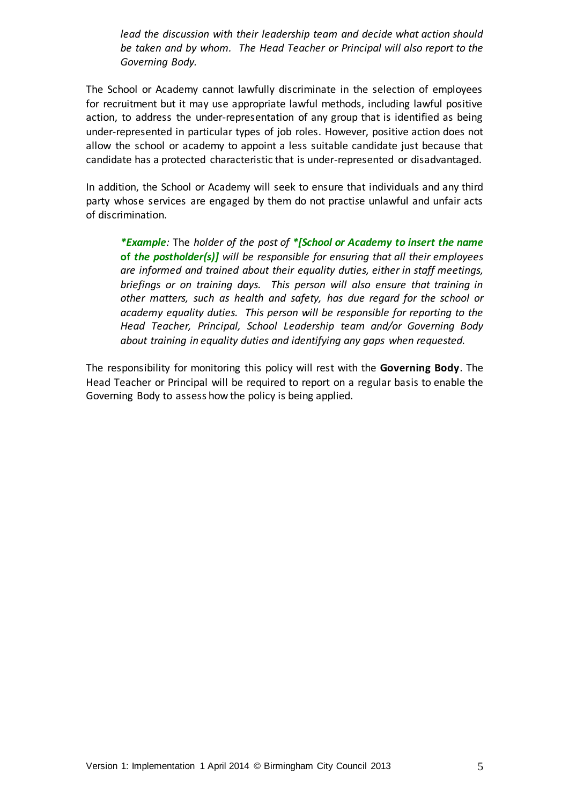*lead the discussion with their leadership team and decide what action should be taken and by whom. The Head Teacher or Principal will also report to the Governing Body.*

The School or Academy cannot lawfully discriminate in the selection of employees for recruitment but it may use appropriate lawful methods, including lawful positive action, to address the under-representation of any group that is identified as being under-represented in particular types of job roles. However, positive action does not allow the school or academy to appoint a less suitable candidate just because that candidate has a protected characteristic that is under-represented or disadvantaged.

In addition, the School or Academy will seek to ensure that individuals and any third party whose services are engaged by them do not practi*s*e unlawful and unfair acts of discrimination.

*\*Example:* The *holder of the post of \*[School or Academy to insert the name* **of** *the postholder(s)] will be responsible for ensuring that all their employees are informed and trained about their equality duties, either in staff meetings, briefings or on training days. This person will also ensure that training in other matters, such as health and safety, has due regard for the school or academy equality duties. This person will be responsible for reporting to the Head Teacher, Principal, School Leadership team and/or Governing Body about training in equality duties and identifying any gaps when requested.*

The responsibility for monitoring this policy will rest with the **Governing Body**. The Head Teacher or Principal will be required to report on a regular basis to enable the Governing Body to assess how the policy is being applied.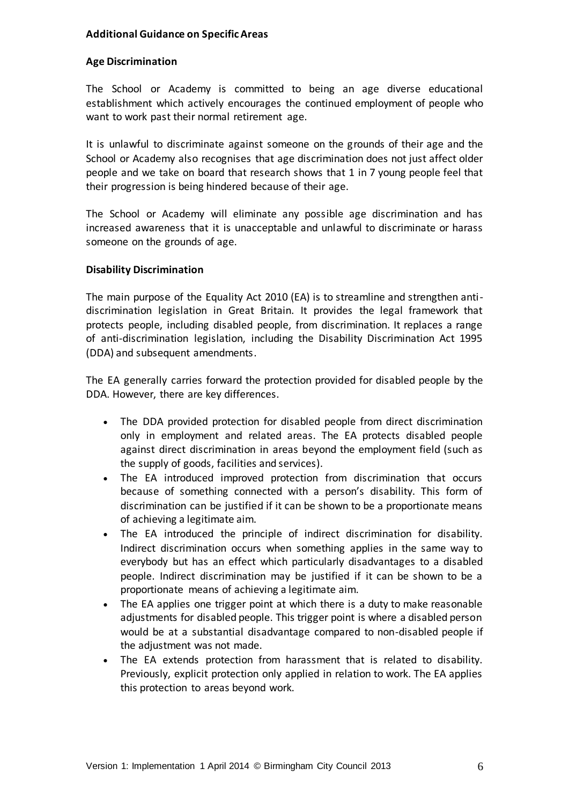# **Additional Guidance on Specific Areas**

# **Age Discrimination**

The School or Academy is committed to being an age diverse educational establishment which actively encourages the continued employment of people who want to work past their normal retirement age.

It is unlawful to discriminate against someone on the grounds of their age and the School or Academy also recognises that age discrimination does not just affect older people and we take on board that research shows that 1 in 7 young people feel that their progression is being hindered because of their age.

The School or Academy will eliminate any possible age discrimination and has increased awareness that it is unacceptable and unlawful to discriminate or harass someone on the grounds of age.

# **Disability Discrimination**

The main purpose of the Equality Act 2010 (EA) is to streamline and strengthen antidiscrimination legislation in Great Britain. It provides the legal framework that protects people, including disabled people, from discrimination. It replaces a range of anti-discrimination legislation, including the Disability Discrimination Act 1995 (DDA) and subsequent amendments.

The EA generally carries forward the protection provided for disabled people by the DDA. However, there are key differences.

- The DDA provided protection for disabled people from direct discrimination only in employment and related areas. The EA protects disabled people against direct discrimination in areas beyond the employment field (such as the supply of goods, facilities and services).
- The EA introduced improved protection from discrimination that occurs because of something connected with a person's disability. This form of discrimination can be justified if it can be shown to be a proportionate means of achieving a legitimate aim.
- The EA introduced the principle of indirect discrimination for disability. Indirect discrimination occurs when something applies in the same way to everybody but has an effect which particularly disadvantages to a disabled people. Indirect discrimination may be justified if it can be shown to be a proportionate means of achieving a legitimate aim.
- The EA applies one trigger point at which there is a duty to make reasonable adjustments for disabled people. This trigger point is where a disabled person would be at a substantial disadvantage compared to non-disabled people if the adjustment was not made.
- The EA extends protection from harassment that is related to disability. Previously, explicit protection only applied in relation to work. The EA applies this protection to areas beyond work.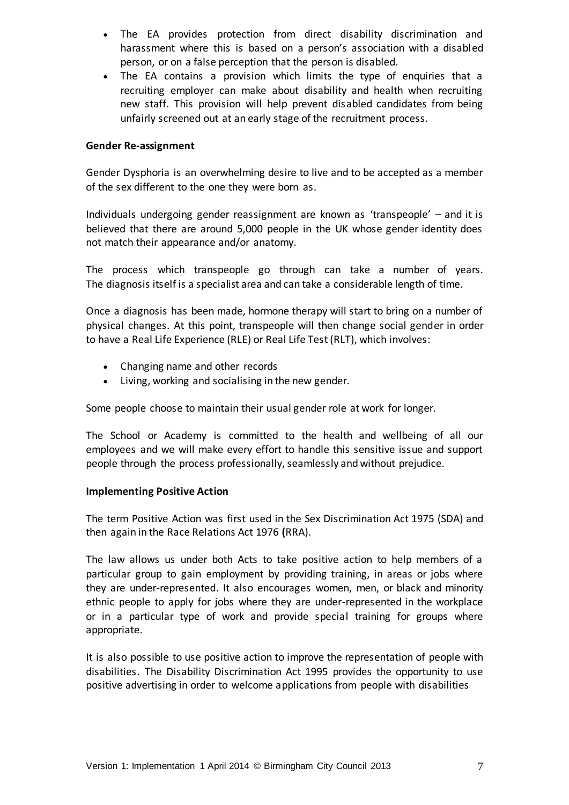- The EA provides protection from direct disability discrimination and harassment where this is based on a person's association with a disabled person, or on a false perception that the person is disabled.
- The EA contains a provision which limits the type of enquiries that a recruiting employer can make about disability and health when recruiting new staff. This provision will help prevent disabled candidates from being unfairly screened out at an early stage of the recruitment process.

# **Gender Re-assignment**

Gender Dysphoria is an overwhelming desire to live and to be accepted as a member of the sex different to the one they were born as.

Individuals undergoing gender reassignment are known as 'transpeople' – and it is believed that there are around 5,000 people in the UK whose gender identity does not match their appearance and/or anatomy.

The process which transpeople go through can take a number of years. The diagnosis itself is a specialist area and can take a considerable length of time.

Once a diagnosis has been made, hormone therapy will start to bring on a number of physical changes. At this point, transpeople will then change social gender in order to have a Real Life Experience (RLE) or Real Life Test (RLT), which involves:

- Changing name and other records
- Living, working and socialising in the new gender.

Some people choose to maintain their usual gender role at work for longer.

The School or Academy is committed to the health and wellbeing of all our employees and we will make every effort to handle this sensitive issue and support people through the process professionally, seamlessly and without prejudice.

# **Implementing Positive Action**

The term Positive Action was first used in the Sex Discrimination Act 1975 (SDA) and then again in the Race Relations Act 1976 **(**RRA).

The law allows us under both Acts to take positive action to help members of a particular group to gain employment by providing training, in areas or jobs where they are under-represented. It also encourages women, men, or black and minority ethnic people to apply for jobs where they are under-represented in the workplace or in a particular type of work and provide special training for groups where appropriate.

It is also possible to use positive action to improve the representation of people with disabilities. The Disability Discrimination Act 1995 provides the opportunity to use positive advertising in order to welcome applications from people with disabilities